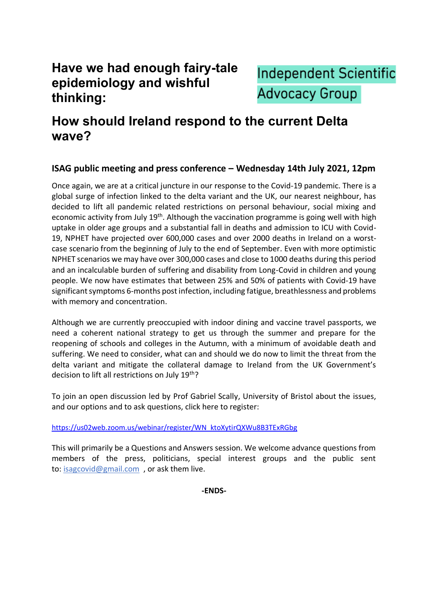## **Have we had enough fairy-tale epidemiology and wishful thinking:**



## **How should Ireland respond to the current Delta wave?**

## **ISAG public meeting and press conference – Wednesday 14th July 2021, 12pm**

Once again, we are at a critical juncture in our response to the Covid-19 pandemic. There is a global surge of infection linked to the delta variant and the UK, our nearest neighbour, has decided to lift all pandemic related restrictions on personal behaviour, social mixing and economic activity from July 19<sup>th</sup>. Although the vaccination programme is going well with high uptake in older age groups and a substantial fall in deaths and admission to ICU with Covid-19, NPHET have projected over 600,000 cases and over 2000 deaths in Ireland on a worstcase scenario from the beginning of July to the end of September. Even with more optimistic NPHET scenarios we may have over 300,000 cases and close to 1000 deaths during this period and an incalculable burden of suffering and disability from Long-Covid in children and young people. We now have estimates that between 25% and 50% of patients with Covid-19 have significant symptoms 6-months post infection, including fatigue, breathlessness and problems with memory and concentration.

Although we are currently preoccupied with indoor dining and vaccine travel passports, we need a coherent national strategy to get us through the summer and prepare for the reopening of schools and colleges in the Autumn, with a minimum of avoidable death and suffering. We need to consider, what can and should we do now to limit the threat from the delta variant and mitigate the collateral damage to Ireland from the UK Government's decision to lift all restrictions on July 19<sup>th</sup>?

To join an open discussion led by Prof Gabriel Scally, University of Bristol about the issues, and our options and to ask questions, click here to register:

[https://us02web.zoom.us/webinar/register/WN\\_ktoXytirQXWu8B3TExRGbg](https://us02web.zoom.us/webinar/register/WN_ktoXytirQXWu8B3TExRGbg)

This will primarily be a Questions and Answers session. We welcome advance questions from members of the press, politicians, special interest groups and the public sent to: [isagcovid@gmail.com](mailto:isagcovid@gmail.com), or ask them live.

**-ENDS-**